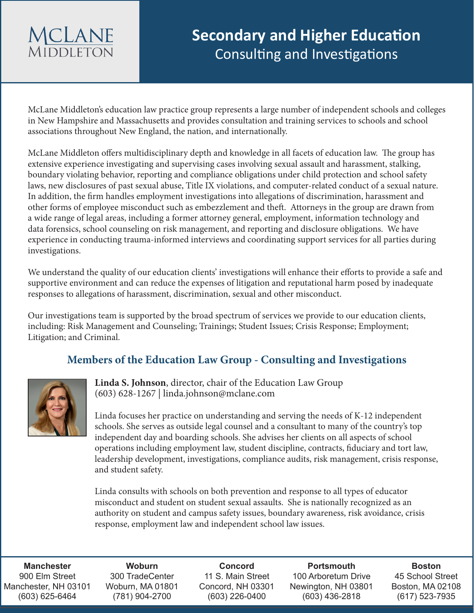## **MCLANE MIDDIFTON**

McLane Middleton's education law practice group represents a large number of independent schools and colleges in New Hampshire and Massachusetts and provides consultation and training services to schools and school associations throughout New England, the nation, and internationally.

McLane Middleton offers multidisciplinary depth and knowledge in all facets of education law. The group has extensive experience investigating and supervising cases involving sexual assault and harassment, stalking, boundary violating behavior, reporting and compliance obligations under child protection and school safety laws, new disclosures of past sexual abuse, Title IX violations, and computer-related conduct of a sexual nature. In addition, the firm handles employment investigations into allegations of discrimination, harassment and other forms of employee misconduct such as embezzlement and theft. Attorneys in the group are drawn from a wide range of legal areas, including a former attorney general, employment, information technology and data forensics, school counseling on risk management, and reporting and disclosure obligations. We have experience in conducting trauma-informed interviews and coordinating support services for all parties during investigations.

We understand the quality of our education clients' investigations will enhance their efforts to provide a safe and supportive environment and can reduce the expenses of litigation and reputational harm posed by inadequate responses to allegations of harassment, discrimination, sexual and other misconduct.

Our investigations team is supported by the broad spectrum of services we provide to our education clients, including: Risk Management and Counseling; Trainings; Student Issues; Crisis Response; Employment; Litigation; and Criminal.

## **Members of the Education Law Group - Consulting and Investigations**



**Linda S. Johnson**, director, chair of the Education Law Group (603) 628-1267 | linda.johnson@mclane.com

Linda focuses her practice on understanding and serving the needs of K-12 independent schools. She serves as outside legal counsel and a consultant to many of the country's top independent day and boarding schools. She advises her clients on all aspects of school operations including employment law, student discipline, contracts, fiduciary and tort law, leadership development, investigations, compliance audits, risk management, crisis response, and student safety.

Linda consults with schools on both prevention and response to all types of educator misconduct and student on student sexual assaults. She is nationally recognized as an authority on student and campus safety issues, boundary awareness, risk avoidance, crisis response, employment law and independent school law issues.

**Manchester** 900 Elm Street Manchester, NH 03101 (603) 625-6464

**Woburn** 300 TradeCenter Woburn, MA 01801 (781) 904-2700

**Concord** 11 S. Main Street Concord, NH 03301 (603) 226-0400

**Portsmouth** 100 Arboretum Drive Newington, NH 03801 (603) 436-2818

**Boston** 45 School Street Boston, MA 02108 (617) 523-7935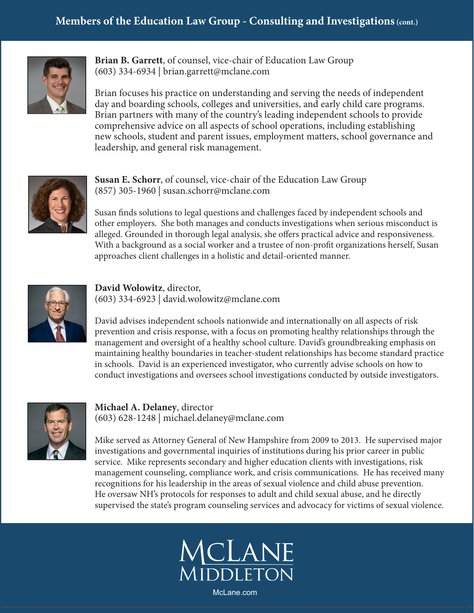

**Brian B. Garrett**, of counsel, vice-chair of Education Law Group (603) 334-6934 | brian.garrett@mclane.com

Brian focuses his practice on understanding and serving the needs of independent day and boarding schools, colleges and universities, and early child care programs. Brian partners with many of the country's leading independent schools to provide comprehensive advice on all aspects of school operations, including establishing new schools, student and parent issues, employment matters, school governance and leadership, and general risk management.



**Susan E. Schorr**, of counsel, vice-chair of the Education Law Group (857) 305-1960 | susan.schorr@mclane.com

Susan finds solutions to legal questions and challenges faced by independent schools and other employers. She both manages and conducts investigations when serious misconduct is alleged. Grounded in thorough legal analysis, she offers practical advice and responsiveness. With a background as a social worker and a trustee of non-profit organizations herself, Susan approaches client challenges in a holistic and detail-oriented manner.



**David Wolowitz**, director, (603) 334-6923 | david.wolowitz@mclane.com

David advises independent schools nationwide and internationally on all aspects of risk prevention and crisis response, with a focus on promoting healthy relationships through the management and oversight of a healthy school culture. David's groundbreaking emphasis on maintaining healthy boundaries in teacher-student relationships has become standard practice in schools. David is an experienced investigator, who currently advise schools on how to conduct investigations and oversees school investigations conducted by outside investigators.



**Michael A. Delaney**, director (603) 628-1248 | michael.delaney@mclane.com

Mike served as Attorney General of New Hampshire from 2009 to 2013. He supervised major investigations and governmental inquiries of institutions during his prior career in public service. Mike represents secondary and higher education clients with investigations, risk management counseling, compliance work, and crisis communications. He has received many recognitions for his leadership in the areas of sexual violence and child abuse prevention. He oversaw NH's protocols for responses to adult and child sexual abuse, and he directly supervised the state's program counseling services and advocacy for victims of sexual violence.